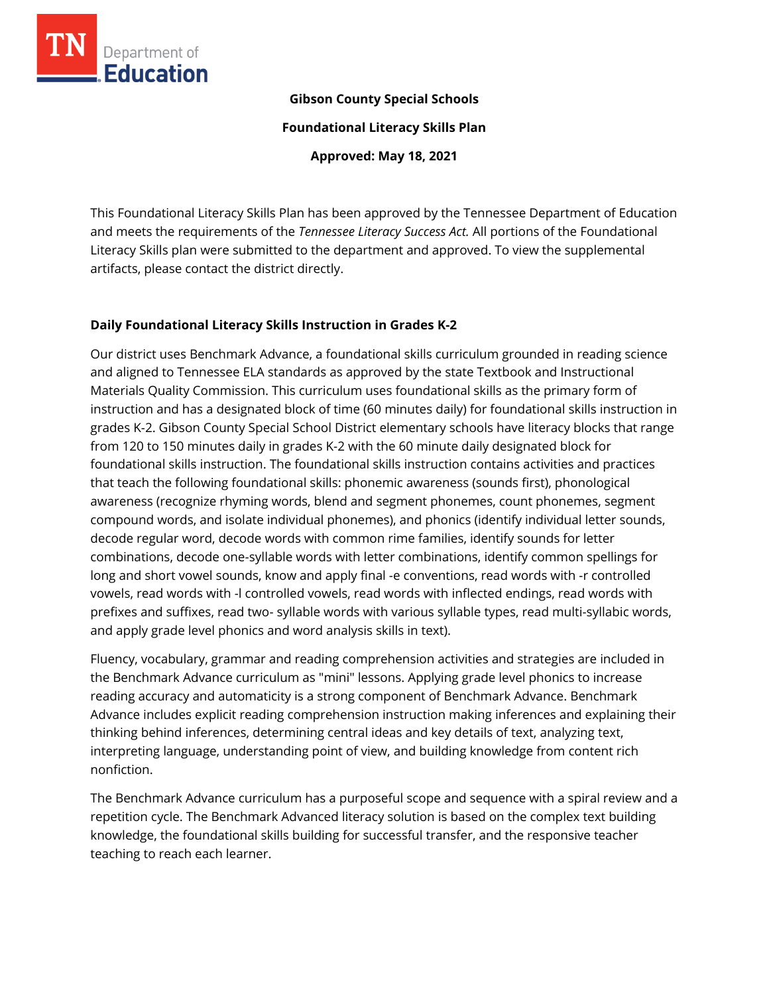

#### **Gibson County Special Schools**

**Foundational Literacy Skills Plan**

**Approved: May 18, 2021**

This Foundational Literacy Skills Plan has been approved by the Tennessee Department of Education and meets the requirements of the *Tennessee Literacy Success Act.* All portions of the Foundational Literacy Skills plan were submitted to the department and approved. To view the supplemental artifacts, please contact the district directly.

#### **Daily Foundational Literacy Skills Instruction in Grades K-2**

Our district uses Benchmark Advance, a foundational skills curriculum grounded in reading science and aligned to Tennessee ELA standards as approved by the state Textbook and Instructional Materials Quality Commission. This curriculum uses foundational skills as the primary form of instruction and has a designated block of time (60 minutes daily) for foundational skills instruction in grades K-2. Gibson County Special School District elementary schools have literacy blocks that range from 120 to 150 minutes daily in grades K-2 with the 60 minute daily designated block for foundational skills instruction. The foundational skills instruction contains activities and practices that teach the following foundational skills: phonemic awareness (sounds first), phonological awareness (recognize rhyming words, blend and segment phonemes, count phonemes, segment compound words, and isolate individual phonemes), and phonics (identify individual letter sounds, decode regular word, decode words with common rime families, identify sounds for letter combinations, decode one-syllable words with letter combinations, identify common spellings for long and short vowel sounds, know and apply final -e conventions, read words with -r controlled vowels, read words with -l controlled vowels, read words with inflected endings, read words with prefixes and suffixes, read two- syllable words with various syllable types, read multi-syllabic words, and apply grade level phonics and word analysis skills in text).

Fluency, vocabulary, grammar and reading comprehension activities and strategies are included in the Benchmark Advance curriculum as "mini" lessons. Applying grade level phonics to increase reading accuracy and automaticity is a strong component of Benchmark Advance. Benchmark Advance includes explicit reading comprehension instruction making inferences and explaining their thinking behind inferences, determining central ideas and key details of text, analyzing text, interpreting language, understanding point of view, and building knowledge from content rich nonfiction.

The Benchmark Advance curriculum has a purposeful scope and sequence with a spiral review and a repetition cycle. The Benchmark Advanced literacy solution is based on the complex text building knowledge, the foundational skills building for successful transfer, and the responsive teacher teaching to reach each learner.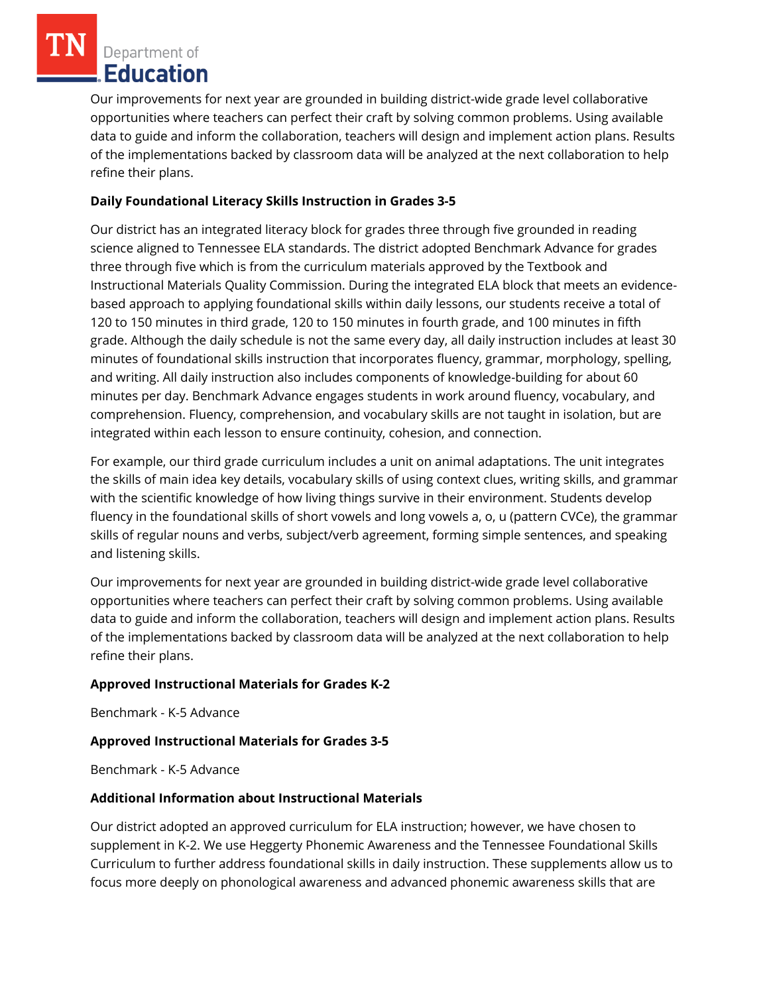Our improvements for next year are grounded in building district-wide grade level collaborative opportunities where teachers can perfect their craft by solving common problems. Using available data to guide and inform the collaboration, teachers will design and implement action plans. Results of the implementations backed by classroom data will be analyzed at the next collaboration to help refine their plans.

### **Daily Foundational Literacy Skills Instruction in Grades 3-5**

Our district has an integrated literacy block for grades three through five grounded in reading science aligned to Tennessee ELA standards. The district adopted Benchmark Advance for grades three through five which is from the curriculum materials approved by the Textbook and Instructional Materials Quality Commission. During the integrated ELA block that meets an evidencebased approach to applying foundational skills within daily lessons, our students receive a total of 120 to 150 minutes in third grade, 120 to 150 minutes in fourth grade, and 100 minutes in fifth grade. Although the daily schedule is not the same every day, all daily instruction includes at least 30 minutes of foundational skills instruction that incorporates fluency, grammar, morphology, spelling, and writing. All daily instruction also includes components of knowledge-building for about 60 minutes per day. Benchmark Advance engages students in work around fluency, vocabulary, and comprehension. Fluency, comprehension, and vocabulary skills are not taught in isolation, but are integrated within each lesson to ensure continuity, cohesion, and connection.

For example, our third grade curriculum includes a unit on animal adaptations. The unit integrates the skills of main idea key details, vocabulary skills of using context clues, writing skills, and grammar with the scientific knowledge of how living things survive in their environment. Students develop fluency in the foundational skills of short vowels and long vowels a, o, u (pattern CVCe), the grammar skills of regular nouns and verbs, subject/verb agreement, forming simple sentences, and speaking and listening skills.

Our improvements for next year are grounded in building district-wide grade level collaborative opportunities where teachers can perfect their craft by solving common problems. Using available data to guide and inform the collaboration, teachers will design and implement action plans. Results of the implementations backed by classroom data will be analyzed at the next collaboration to help refine their plans.

## **Approved Instructional Materials for Grades K-2**

Benchmark - K-5 Advance

## **Approved Instructional Materials for Grades 3-5**

Benchmark - K-5 Advance

## **Additional Information about Instructional Materials**

Our district adopted an approved curriculum for ELA instruction; however, we have chosen to supplement in K-2. We use Heggerty Phonemic Awareness and the Tennessee Foundational Skills Curriculum to further address foundational skills in daily instruction. These supplements allow us to focus more deeply on phonological awareness and advanced phonemic awareness skills that are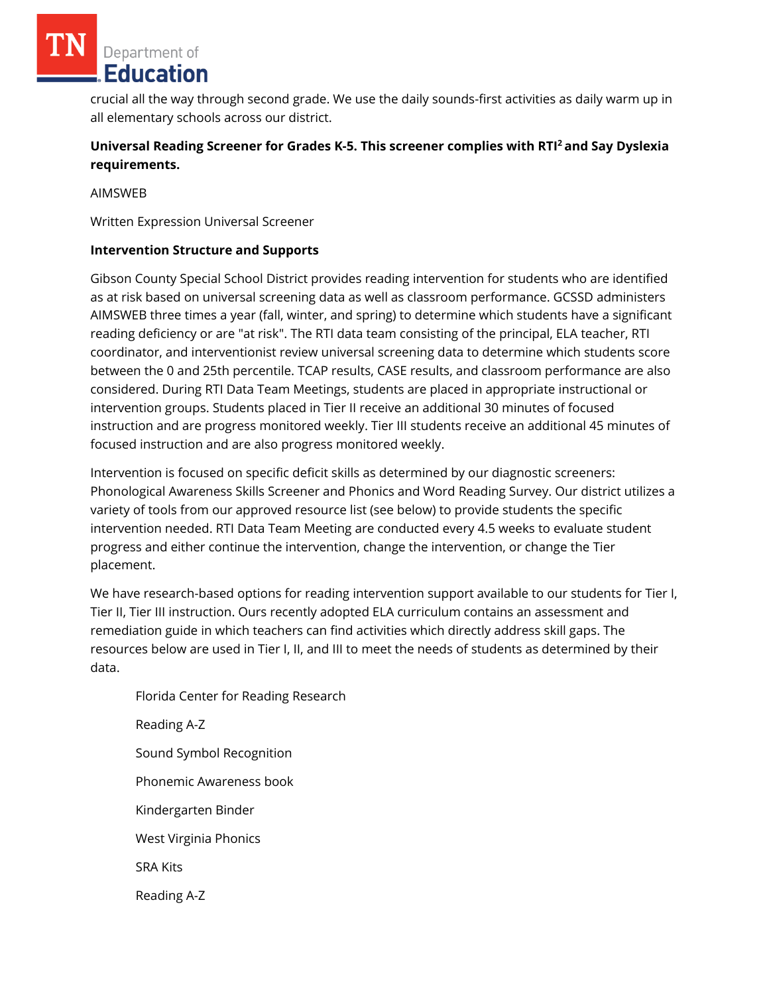crucial all the way through second grade. We use the daily sounds-first activities as daily warm up in all elementary schools across our district.

# **Universal Reading Screener for Grades K-5. This screener complies with RTI<sup>2</sup>and Say Dyslexia requirements.**

AIMSWEB

Written Expression Universal Screener

#### **Intervention Structure and Supports**

Gibson County Special School District provides reading intervention for students who are identified as at risk based on universal screening data as well as classroom performance. GCSSD administers AIMSWEB three times a year (fall, winter, and spring) to determine which students have a significant reading deficiency or are "at risk". The RTI data team consisting of the principal, ELA teacher, RTI coordinator, and interventionist review universal screening data to determine which students score between the 0 and 25th percentile. TCAP results, CASE results, and classroom performance are also considered. During RTI Data Team Meetings, students are placed in appropriate instructional or intervention groups. Students placed in Tier II receive an additional 30 minutes of focused instruction and are progress monitored weekly. Tier III students receive an additional 45 minutes of focused instruction and are also progress monitored weekly.

Intervention is focused on specific deficit skills as determined by our diagnostic screeners: Phonological Awareness Skills Screener and Phonics and Word Reading Survey. Our district utilizes a variety of tools from our approved resource list (see below) to provide students the specific intervention needed. RTI Data Team Meeting are conducted every 4.5 weeks to evaluate student progress and either continue the intervention, change the intervention, or change the Tier placement.

We have research-based options for reading intervention support available to our students for Tier I, Tier II, Tier III instruction. Ours recently adopted ELA curriculum contains an assessment and remediation guide in which teachers can find activities which directly address skill gaps. The resources below are used in Tier I, II, and III to meet the needs of students as determined by their data.

Florida Center for Reading Research Reading A-Z Sound Symbol Recognition Phonemic Awareness book Kindergarten Binder West Virginia Phonics SRA Kits Reading A-Z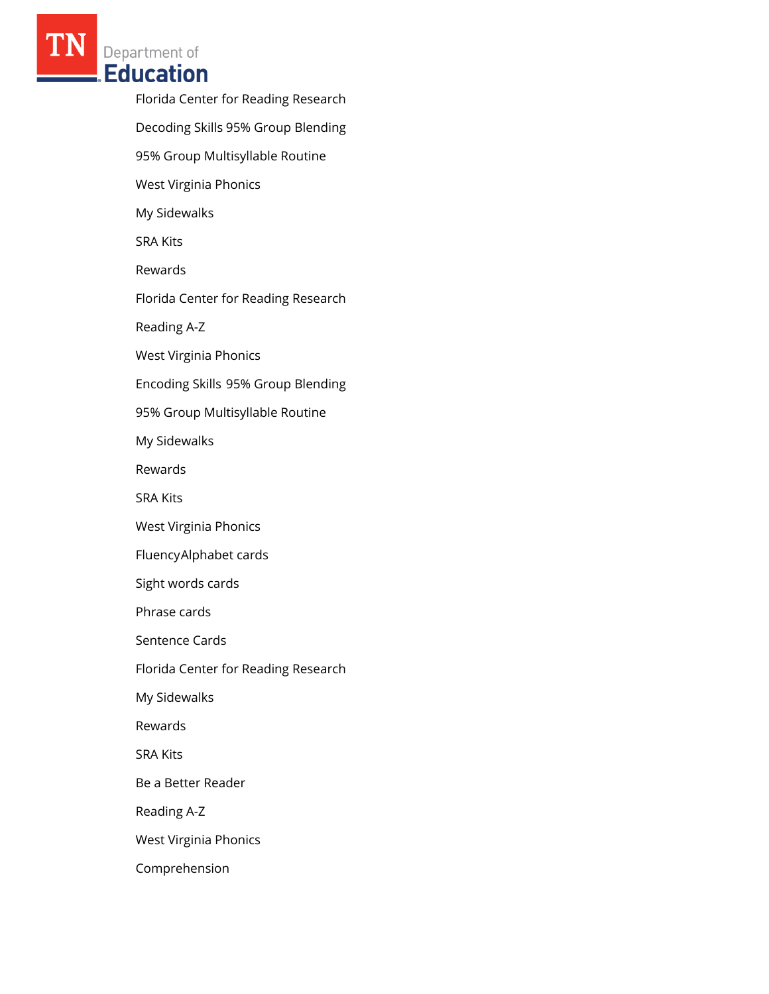> Florida Center for Reading Research Decoding Skills 95% Group Blending 95% Group Multisyllable Routine West Virginia Phonics My Sidewalks SRA Kits Rewards Florida Center for Reading Research Reading A-Z West Virginia Phonics Encoding Skills 95% Group Blending 95% Group Multisyllable Routine My Sidewalks Rewards SRA Kits West Virginia Phonics FluencyAlphabet cards Sight words cards Phrase cards Sentence Cards Florida Center for Reading Research My Sidewalks Rewards SRA Kits Be a Better Reader Reading A-Z West Virginia Phonics Comprehension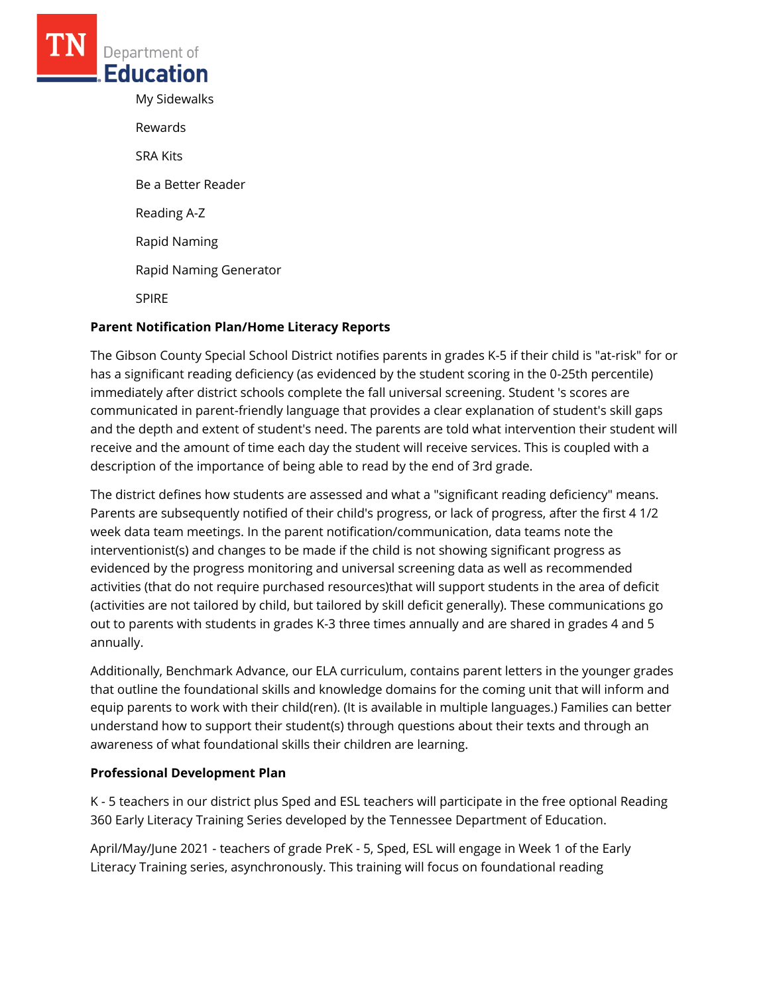My Sidewalks Rewards SRA Kits Be a Better Reader Reading A-Z Rapid Naming Rapid Naming Generator SPIRE

### **Parent Notification Plan/Home Literacy Reports**

The Gibson County Special School District notifies parents in grades K-5 if their child is "at-risk" for or has a significant reading deficiency (as evidenced by the student scoring in the 0-25th percentile) immediately after district schools complete the fall universal screening. Student 's scores are communicated in parent-friendly language that provides a clear explanation of student's skill gaps and the depth and extent of student's need. The parents are told what intervention their student will receive and the amount of time each day the student will receive services. This is coupled with a description of the importance of being able to read by the end of 3rd grade.

The district defines how students are assessed and what a "significant reading deficiency" means. Parents are subsequently notified of their child's progress, or lack of progress, after the first 4 1/2 week data team meetings. In the parent notification/communication, data teams note the interventionist(s) and changes to be made if the child is not showing significant progress as evidenced by the progress monitoring and universal screening data as well as recommended activities (that do not require purchased resources)that will support students in the area of deficit (activities are not tailored by child, but tailored by skill deficit generally). These communications go out to parents with students in grades K-3 three times annually and are shared in grades 4 and 5 annually.

Additionally, Benchmark Advance, our ELA curriculum, contains parent letters in the younger grades that outline the foundational skills and knowledge domains for the coming unit that will inform and equip parents to work with their child(ren). (It is available in multiple languages.) Families can better understand how to support their student(s) through questions about their texts and through an awareness of what foundational skills their children are learning.

#### **Professional Development Plan**

K - 5 teachers in our district plus Sped and ESL teachers will participate in the free optional Reading 360 Early Literacy Training Series developed by the Tennessee Department of Education.

April/May/June 2021 - teachers of grade PreK - 5, Sped, ESL will engage in Week 1 of the Early Literacy Training series, asynchronously. This training will focus on foundational reading